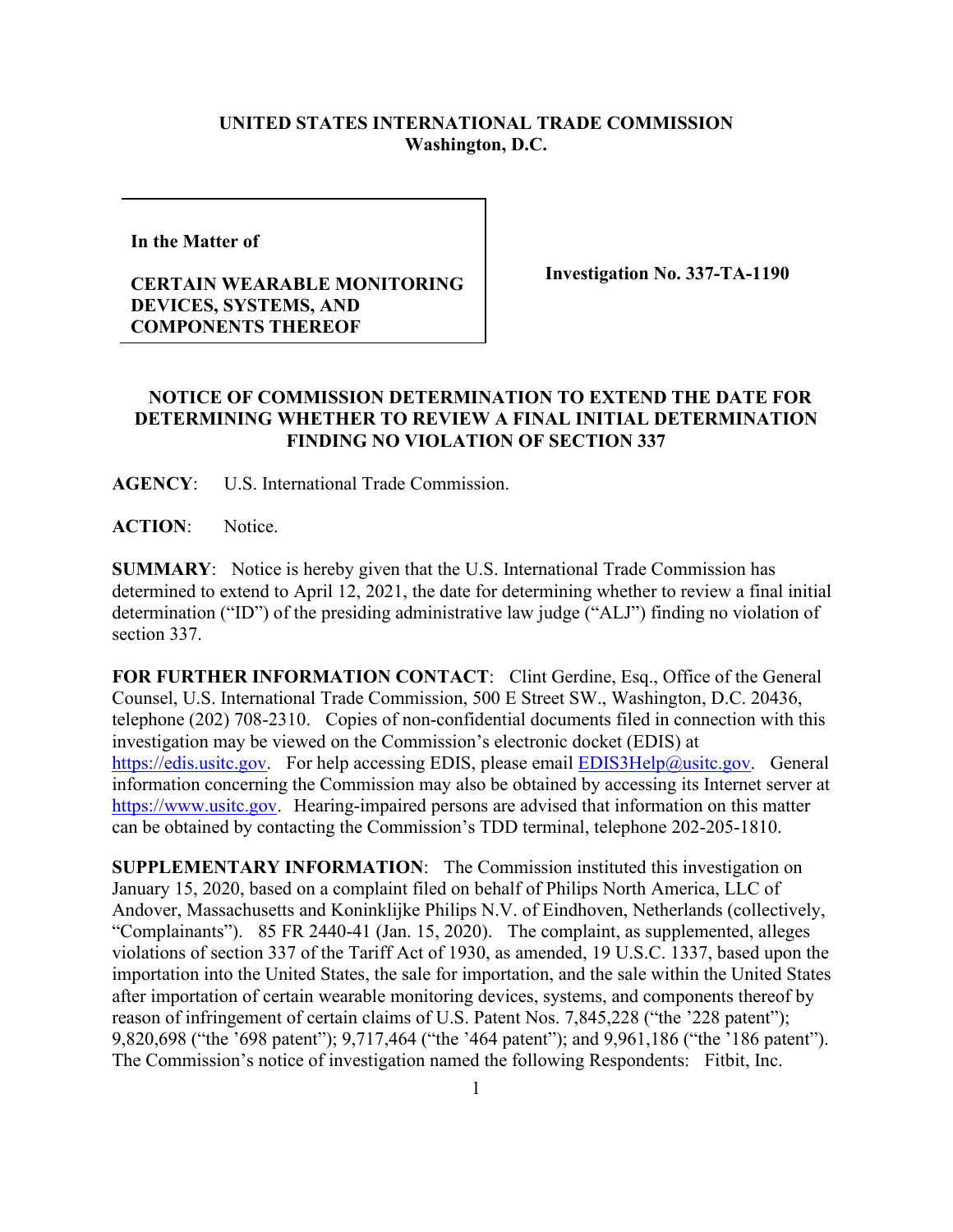## **UNITED STATES INTERNATIONAL TRADE COMMISSION Washington, D.C.**

**In the Matter of** 

## **CERTAIN WEARABLE MONITORING DEVICES, SYSTEMS, AND COMPONENTS THEREOF**

**Investigation No. 337-TA-1190**

## **NOTICE OF COMMISSION DETERMINATION TO EXTEND THE DATE FOR DETERMINING WHETHER TO REVIEW A FINAL INITIAL DETERMINATION FINDING NO VIOLATION OF SECTION 337**

**AGENCY**: U.S. International Trade Commission.

ACTION: Notice.

**SUMMARY**: Notice is hereby given that the U.S. International Trade Commission has determined to extend to April 12, 2021, the date for determining whether to review a final initial determination ("ID") of the presiding administrative law judge ("ALJ") finding no violation of section 337.

**FOR FURTHER INFORMATION CONTACT**: Clint Gerdine, Esq., Office of the General Counsel, U.S. International Trade Commission, 500 E Street SW., Washington, D.C. 20436, telephone (202) 708-2310. Copies of non-confidential documents filed in connection with this investigation may be viewed on the Commission's electronic docket (EDIS) at [https://edis.usitc.gov.](https://edis.usitc.gov/) For help accessing EDIS, please email [EDIS3Help@usitc.gov.](mailto:EDIS3Help@usitc.gov) General information concerning the Commission may also be obtained by accessing its Internet server at [https://www.usitc.gov.](https://www.usitc.gov/) Hearing-impaired persons are advised that information on this matter can be obtained by contacting the Commission's TDD terminal, telephone 202-205-1810.

**SUPPLEMENTARY INFORMATION**: The Commission instituted this investigation on January 15, 2020, based on a complaint filed on behalf of Philips North America, LLC of Andover, Massachusetts and Koninklijke Philips N.V. of Eindhoven, Netherlands (collectively, "Complainants"). 85 FR 2440-41 (Jan. 15, 2020). The complaint, as supplemented, alleges violations of section 337 of the Tariff Act of 1930, as amended, 19 U.S.C. 1337, based upon the importation into the United States, the sale for importation, and the sale within the United States after importation of certain wearable monitoring devices, systems, and components thereof by reason of infringement of certain claims of U.S. Patent Nos. 7,845,228 ("the '228 patent"); 9,820,698 ("the '698 patent"); 9,717,464 ("the '464 patent"); and 9,961,186 ("the '186 patent"). The Commission's notice of investigation named the following Respondents: Fitbit, Inc.